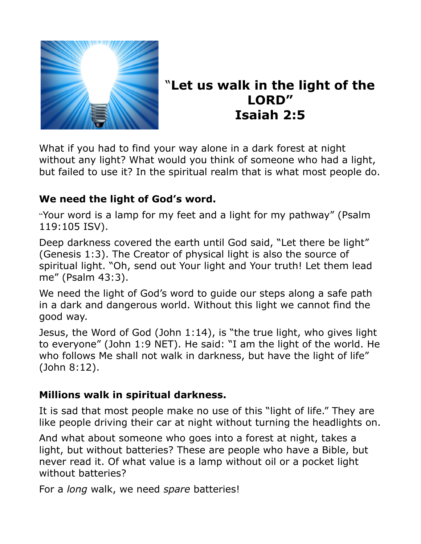

# "**Let us walk in the light of the LORD" Isaiah 2:5**

What if you had to find your way alone in a dark forest at night without any light? What would you think of someone who had a light, but failed to use it? In the spiritual realm that is what most people do.

### **We need the light of God's word.**

"Your word is a lamp for my feet and a light for my pathway" (Psalm 119:105 ISV).

Deep darkness covered the earth until God said, "Let there be light" (Genesis 1:3). The Creator of physical light is also the source of spiritual light. "Oh, send out Your light and Your truth! Let them lead me" (Psalm 43:3).

We need the light of God's word to guide our steps along a safe path in a dark and dangerous world. Without this light we cannot find the good way.

Jesus, the Word of God (John 1:14), is "the true light, who gives light to everyone" (John 1:9 NET). He said: "I am the light of the world. He who follows Me shall not walk in darkness, but have the light of life" (John 8:12).

### **Millions walk in spiritual darkness.**

It is sad that most people make no use of this "light of life." They are like people driving their car at night without turning the headlights on.

And what about someone who goes into a forest at night, takes a light, but without batteries? These are people who have a Bible, but never read it. Of what value is a lamp without oil or a pocket light without batteries?

For a *long* walk, we need *spare* batteries!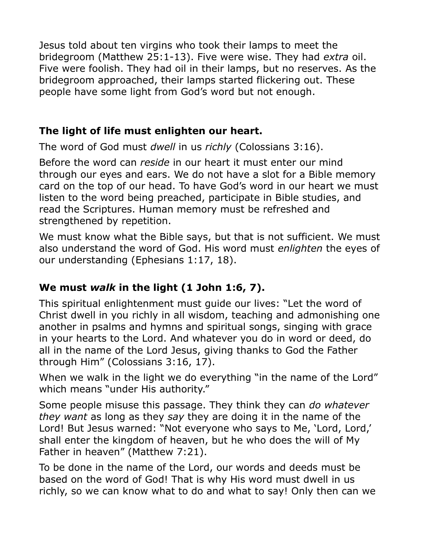Jesus told about ten virgins who took their lamps to meet the bridegroom (Matthew 25:1-13). Five were wise. They had *extra* oil. Five were foolish. They had oil in their lamps, but no reserves. As the bridegroom approached, their lamps started flickering out. These people have some light from God's word but not enough.

### **The light of life must enlighten our heart.**

The word of God must *dwell* in us *richly* (Colossians 3:16).

Before the word can *reside* in our heart it must enter our mind through our eyes and ears. We do not have a slot for a Bible memory card on the top of our head. To have God's word in our heart we must listen to the word being preached, participate in Bible studies, and read the Scriptures. Human memory must be refreshed and strengthened by repetition.

We must know what the Bible says, but that is not sufficient. We must also understand the word of God. His word must *enlighten* the eyes of our understanding (Ephesians 1:17, 18).

## **We must** *walk* **in the light (1 John 1:6, 7).**

This spiritual enlightenment must guide our lives: "Let the word of Christ dwell in you richly in all wisdom, teaching and admonishing one another in psalms and hymns and spiritual songs, singing with grace in your hearts to the Lord. And whatever you do in word or deed, do all in the name of the Lord Jesus, giving thanks to God the Father through Him" (Colossians 3:16, 17).

When we walk in the light we do everything "in the name of the Lord" which means "under His authority."

Some people misuse this passage. They think they can *do whatever they want* as long as they *say* they are doing it in the name of the Lord! But Jesus warned: "Not everyone who says to Me, 'Lord, Lord,' shall enter the kingdom of heaven, but he who does the will of My Father in heaven" (Matthew 7:21).

To be done in the name of the Lord, our words and deeds must be based on the word of God! That is why His word must dwell in us richly, so we can know what to do and what to say! Only then can we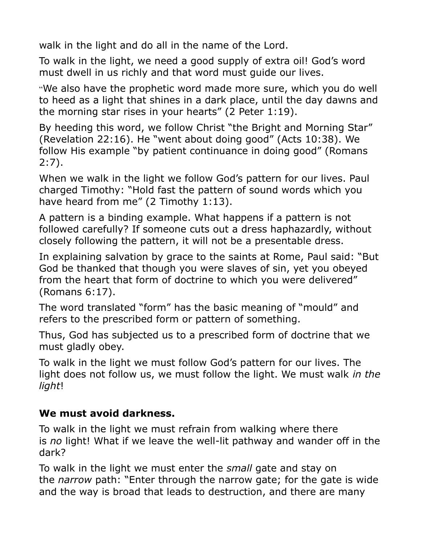walk in the light and do all in the name of the Lord.

To walk in the light, we need a good supply of extra oil! God's word must dwell in us richly and that word must guide our lives.

"We also have the prophetic word made more sure, which you do well to heed as a light that shines in a dark place, until the day dawns and the morning star rises in your hearts" (2 Peter 1:19).

By heeding this word, we follow Christ "the Bright and Morning Star" (Revelation 22:16). He "went about doing good" (Acts 10:38). We follow His example "by patient continuance in doing good" (Romans 2:7).

When we walk in the light we follow God's pattern for our lives. Paul charged Timothy: "Hold fast the pattern of sound words which you have heard from me" (2 Timothy 1:13).

A pattern is a binding example. What happens if a pattern is not followed carefully? If someone cuts out a dress haphazardly, without closely following the pattern, it will not be a presentable dress.

In explaining salvation by grace to the saints at Rome, Paul said: "But God be thanked that though you were slaves of sin, yet you obeyed from the heart that form of doctrine to which you were delivered" (Romans 6:17).

The word translated "form" has the basic meaning of "mould" and refers to the prescribed form or pattern of something.

Thus, God has subjected us to a prescribed form of doctrine that we must gladly obey.

To walk in the light we must follow God's pattern for our lives. The light does not follow us, we must follow the light. We must walk *in the light*!

### **We must avoid darkness.**

To walk in the light we must refrain from walking where there is *no* light! What if we leave the well-lit pathway and wander off in the dark?

To walk in the light we must enter the *small* gate and stay on the *narrow* path: "Enter through the narrow gate; for the gate is wide and the way is broad that leads to destruction, and there are many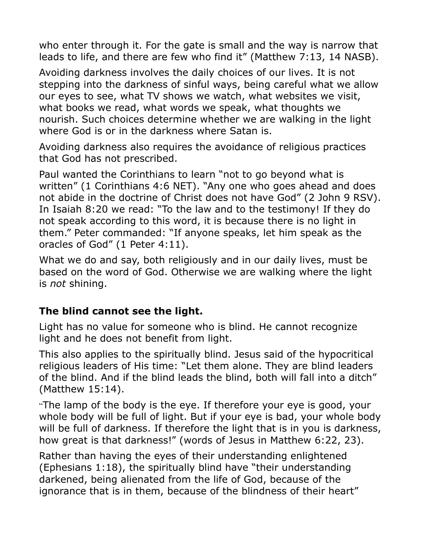who enter through it. For the gate is small and the way is narrow that leads to life, and there are few who find it" (Matthew 7:13, 14 NASB).

Avoiding darkness involves the daily choices of our lives. It is not stepping into the darkness of sinful ways, being careful what we allow our eyes to see, what TV shows we watch, what websites we visit, what books we read, what words we speak, what thoughts we nourish. Such choices determine whether we are walking in the light where God is or in the darkness where Satan is.

Avoiding darkness also requires the avoidance of religious practices that God has not prescribed.

Paul wanted the Corinthians to learn "not to go beyond what is written" (1 Corinthians 4:6 NET). "Any one who goes ahead and does not abide in the doctrine of Christ does not have God" (2 John 9 RSV). In Isaiah 8:20 we read: "To the law and to the testimony! If they do not speak according to this word, it is because there is no light in them." Peter commanded: "If anyone speaks, let him speak as the oracles of God" (1 Peter 4:11).

What we do and say, both religiously and in our daily lives, must be based on the word of God. Otherwise we are walking where the light is *not* shining.

#### **The blind cannot see the light.**

Light has no value for someone who is blind. He cannot recognize light and he does not benefit from light.

This also applies to the spiritually blind. Jesus said of the hypocritical religious leaders of His time: "Let them alone. They are blind leaders of the blind. And if the blind leads the blind, both will fall into a ditch" (Matthew 15:14).

"The lamp of the body is the eye. If therefore your eye is good, your whole body will be full of light. But if your eye is bad, your whole body will be full of darkness. If therefore the light that is in you is darkness, how great is that darkness!" (words of Jesus in Matthew 6:22, 23).

Rather than having the eyes of their understanding enlightened (Ephesians 1:18), the spiritually blind have "their understanding darkened, being alienated from the life of God, because of the ignorance that is in them, because of the blindness of their heart"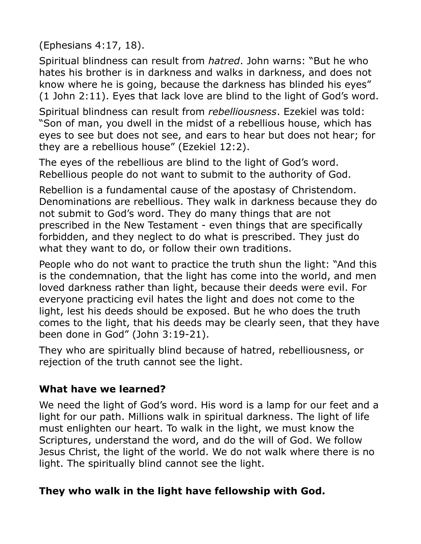(Ephesians 4:17, 18).

Spiritual blindness can result from *hatred*. John warns: "But he who hates his brother is in darkness and walks in darkness, and does not know where he is going, because the darkness has blinded his eyes" (1 John 2:11). Eyes that lack love are blind to the light of God's word.

Spiritual blindness can result from *rebelliousness*. Ezekiel was told: "Son of man, you dwell in the midst of a rebellious house, which has eyes to see but does not see, and ears to hear but does not hear; for they are a rebellious house" (Ezekiel 12:2).

The eyes of the rebellious are blind to the light of God's word. Rebellious people do not want to submit to the authority of God.

Rebellion is a fundamental cause of the apostasy of Christendom. Denominations are rebellious. They walk in darkness because they do not submit to God's word. They do many things that are not prescribed in the New Testament - even things that are specifically forbidden, and they neglect to do what is prescribed. They just do what they want to do, or follow their own traditions.

People who do not want to practice the truth shun the light: "And this is the condemnation, that the light has come into the world, and men loved darkness rather than light, because their deeds were evil. For everyone practicing evil hates the light and does not come to the light, lest his deeds should be exposed. But he who does the truth comes to the light, that his deeds may be clearly seen, that they have been done in God" (John 3:19-21).

They who are spiritually blind because of hatred, rebelliousness, or rejection of the truth cannot see the light.

### **What have we learned?**

We need the light of God's word. His word is a lamp for our feet and a light for our path. Millions walk in spiritual darkness. The light of life must enlighten our heart. To walk in the light, we must know the Scriptures, understand the word, and do the will of God. We follow Jesus Christ, the light of the world. We do not walk where there is no light. The spiritually blind cannot see the light.

### **They who walk in the light have fellowship with God.**